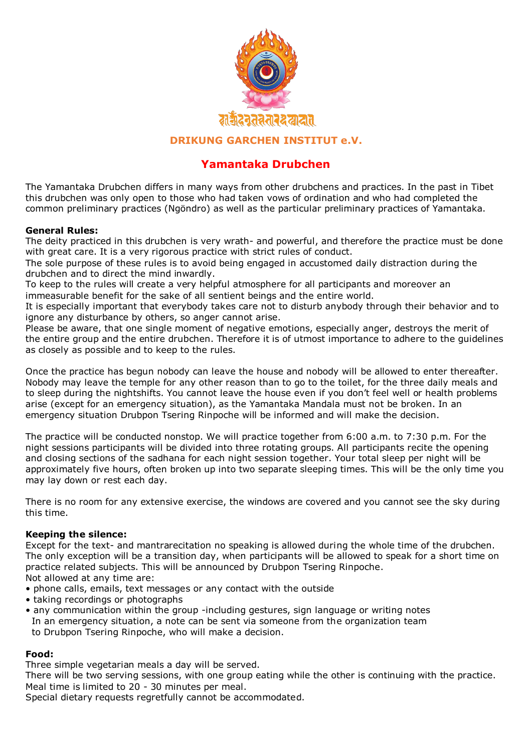

# **DRIKUNG GARCHEN INSTITUT e.V.**

# **Yamantaka Drubchen**

The Yamantaka Drubchen differs in many ways from other drubchens and practices. In the past in Tibet this drubchen was only open to those who had taken vows of ordination and who had completed the common preliminary practices (Ngöndro) as well as the particular preliminary practices of Yamantaka.

#### **General Rules:**

The deity practiced in this drubchen is very wrath- and powerful, and therefore the practice must be done with great care. It is a very rigorous practice with strict rules of conduct.

The sole purpose of these rules is to avoid being engaged in accustomed daily distraction during the drubchen and to direct the mind inwardly.

To keep to the rules will create a very helpful atmosphere for all participants and moreover an immeasurable benefit for the sake of all sentient beings and the entire world.

It is especially important that everybody takes care not to disturb anybody through their behavior and to ignore any disturbance by others, so anger cannot arise.

Please be aware, that one single moment of negative emotions, especially anger, destroys the merit of the entire group and the entire drubchen. Therefore it is of utmost importance to adhere to the guidelines as closely as possible and to keep to the rules.

Once the practice has begun nobody can leave the house and nobody will be allowed to enter thereafter. Nobody may leave the temple for any other reason than to go to the toilet, for the three daily meals and to sleep during the nightshifts. You cannot leave the house even if you don't feel well or health problems arise (except for an emergency situation), as the Yamantaka Mandala must not be broken. In an emergency situation Drubpon Tsering Rinpoche will be informed and will make the decision.

The practice will be conducted nonstop. We will practice together from 6:00 a.m. to 7:30 p.m. For the night sessions participants will be divided into three rotating groups. All participants recite the opening and closing sections of the sadhana for each night session together. Your total sleep per night will be approximately five hours, often broken up into two separate sleeping times. This will be the only time you may lay down or rest each day.

There is no room for any extensive exercise, the windows are covered and you cannot see the sky during this time.

#### **Keeping the silence:**

Except for the text- and mantrarecitation no speaking is allowed during the whole time of the drubchen. The only exception will be a transition day, when participants will be allowed to speak for a short time on practice related subjects. This will be announced by Drubpon Tsering Rinpoche.

Not allowed at any time are:

- phone calls, emails, text messages or any contact with the outside
- taking recordings or photographs
- any communication within the group -including gestures, sign language or writing notes In an emergency situation, a note can be sent via someone from the organization team to Drubpon Tsering Rinpoche, who will make a decision.

#### **Food:**

Three simple vegetarian meals a day will be served.

There will be two serving sessions, with one group eating while the other is continuing with the practice. Meal time is limited to 20 - 30 minutes per meal.

Special dietary requests regretfully cannot be accommodated.